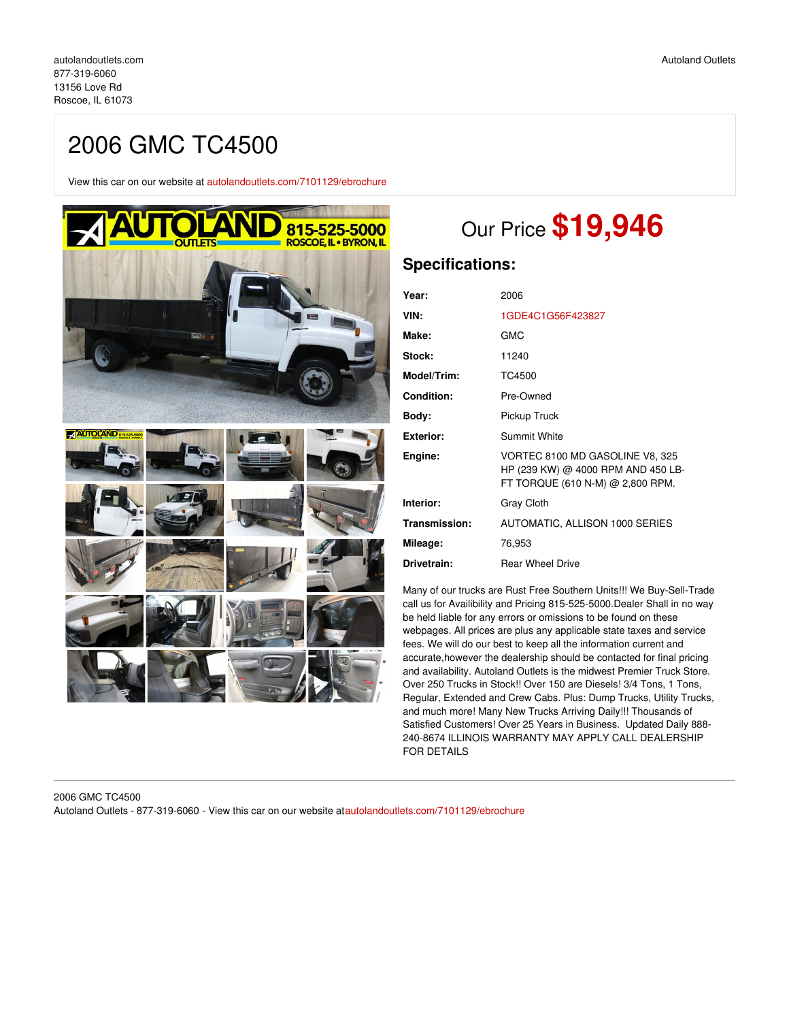# 2006 GMC TC4500

View this car on our website at [autolandoutlets.com/7101129/ebrochure](https://autolandoutlets.com/vehicle/7101129/2006-gmc-tc4500-roscoe-il-61073/7101129/ebrochure)



# Our Price **\$19,946**

# **Specifications:**

| Year:             | 2006                                                                                                      |
|-------------------|-----------------------------------------------------------------------------------------------------------|
| VIN:              | 1GDE4C1G56F423827                                                                                         |
| Make:             | GMC                                                                                                       |
| Stock:            | 11240                                                                                                     |
| Model/Trim:       | TC4500                                                                                                    |
| <b>Condition:</b> | Pre-Owned                                                                                                 |
| Body:             | Pickup Truck                                                                                              |
| <b>Exterior:</b>  | Summit White                                                                                              |
| Engine:           | VORTEC 8100 MD GASOLINE V8, 325<br>HP (239 KW) @ 4000 RPM AND 450 LB-<br>FT TORQUE (610 N-M) @ 2,800 RPM. |
| Interior:         | <b>Gray Cloth</b>                                                                                         |
| Transmission:     | AUTOMATIC, ALLISON 1000 SERIES                                                                            |
| Mileage:          | 76.953                                                                                                    |
| Drivetrain:       | <b>Rear Wheel Drive</b>                                                                                   |

Many of our trucks are Rust Free Southern Units!!! We Buy-Sell-Trade call us for Availibility and Pricing 815-525-5000.Dealer Shall in no way be held liable for any errors or omissions to be found on these webpages. All prices are plus any applicable state taxes and service fees. We will do our best to keep all the information current and accurate,however the dealership should be contacted for final pricing and availability. Autoland Outlets is the midwest Premier Truck Store. Over 250 Trucks in Stock!! Over 150 are Diesels! 3/4 Tons, 1 Tons, Regular, Extended and Crew Cabs. Plus: Dump Trucks, Utility Trucks, and much more! Many New Trucks Arriving Daily!!! Thousands of Satisfied Customers! Over 25 Years in Business. Updated Daily 888- 240-8674 ILLINOIS WARRANTY MAY APPLY CALL DEALERSHIP FOR DETAILS

### 2006 GMC TC4500 Autoland Outlets - 877-319-6060 - View this car on our website at[autolandoutlets.com/7101129/ebrochure](https://autolandoutlets.com/vehicle/7101129/2006-gmc-tc4500-roscoe-il-61073/7101129/ebrochure)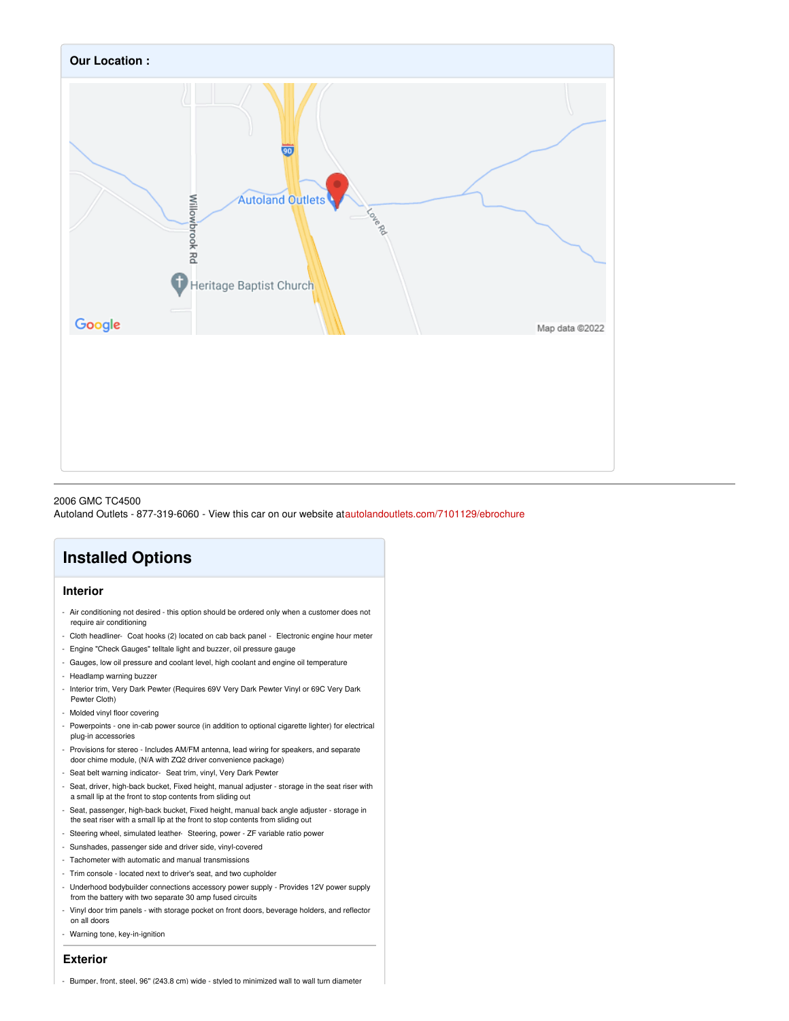

#### 2006 GMC TC4500

Autoland Outlets - 877-319-6060 - View this car on our website at[autolandoutlets.com/7101129/ebrochure](https://autolandoutlets.com/vehicle/7101129/2006-gmc-tc4500-roscoe-il-61073/7101129/ebrochure)

# **Installed Options**

## **Interior**

- Air conditioning not desired this option should be ordered only when a customer does not require air conditioning
- Cloth headliner- Coat hooks (2) located on cab back panel Electronic engine hour meter
- Engine "Check Gauges" telltale light and buzzer, oil pressure gauge
- Gauges, low oil pressure and coolant level, high coolant and engine oil temperature
- Headlamp warning buzzer
- Interior trim, Very Dark Pewter (Requires 69V Very Dark Pewter Vinyl or 69C Very Dark Pewter Cloth)
- Molded vinyl floor covering
- Powerpoints one in-cab power source (in addition to optional cigarette lighter) for electrical plug-in accessories
- Provisions for stereo Includes AM/FM antenna, lead wiring for speakers, and separate door chime module, (N/A with ZQ2 driver convenience package)
- Seat belt warning indicator- Seat trim, vinyl, Very Dark Pewter
- Seat, driver, high-back bucket, Fixed height, manual adjuster storage in the seat riser with a small lip at the front to stop contents from sliding out
- Seat, passenger, high-back bucket, Fixed height, manual back angle adjuster storage in the seat riser with a small lip at the front to stop contents from sliding out
- Steering wheel, simulated leather- Steering, power ZF variable ratio power
- Sunshades, passenger side and driver side, vinyl-covered
- Tachometer with automatic and manual transmissions
- Trim console located next to driver's seat, and two cupholder
- Underhood bodybuilder connections accessory power supply Provides 12V power supply from the battery with two separate 30 amp fused circuits
- Vinyl door trim panels with storage pocket on front doors, beverage holders, and reflector on all doors
- Warning tone, key-in-ignition

## **Exterior**

- Bumper, front, steel, 96" (243.8 cm) wide - styled to minimized wall to wall turn diameter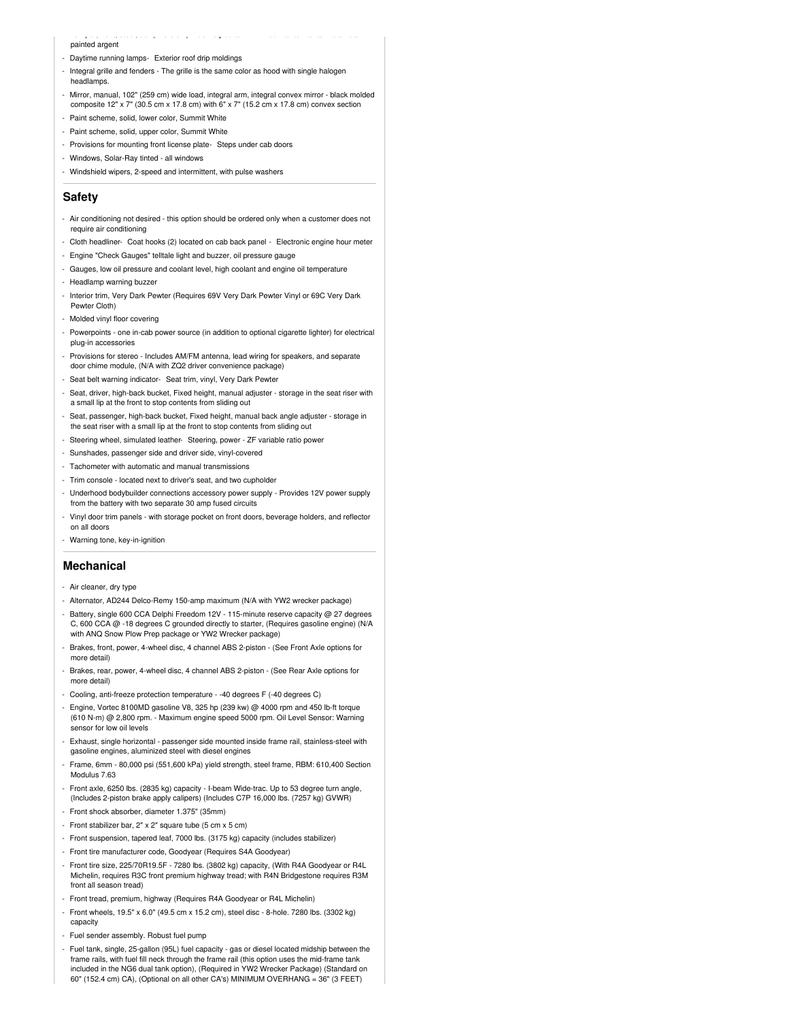#### painted argent

- Daytime running lamps- Exterior roof drip moldings
- Integral grille and fenders The grille is the same color as hood with single halogen headlamps.

- Bumper, front, steel, 96" (243.8 cm) wide - styled to minimized wall to wall turn diameter

- Mirror, manual, 102" (259 cm) wide load, integral arm, integral convex mirror black molded composite  $12"$  x 7" (30.5 cm x 17.8 cm) with 6" x 7" (15.2 cm x 17.8 cm) convex section
- Paint scheme, solid, lower color, Summit White
- Paint scheme, solid, upper color, Summit White
- Provisions for mounting front license plate- Steps under cab doors
- Windows, Solar-Ray tinted all windows
- Windshield wipers, 2-speed and intermittent, with pulse washers

### **Safety**

- Air conditioning not desired this option should be ordered only when a customer does not require air conditioning
- Cloth headliner- Coat hooks (2) located on cab back panel Electronic engine hour meter
- Engine "Check Gauges" telltale light and buzzer, oil pressure gauge
- Gauges, low oil pressure and coolant level, high coolant and engine oil temperature
- Headlamp warning buzzer
- Interior trim, Very Dark Pewter (Requires 69V Very Dark Pewter Vinyl or 69C Very Dark Pewter Cloth)
- Molded vinyl floor covering
- Powerpoints one in-cab power source (in addition to optional cigarette lighter) for electrical plug-in accessories
- Provisions for stereo Includes AM/FM antenna, lead wiring for speakers, and separate door chime module, (N/A with ZQ2 driver convenience package)
- Seat belt warning indicator- Seat trim, vinyl, Very Dark Pewter
- Seat, driver, high-back bucket, Fixed height, manual adjuster storage in the seat riser with a small lip at the front to stop contents from sliding out
- Seat, passenger, high-back bucket, Fixed height, manual back angle adjuster storage in the seat riser with a small lip at the front to stop contents from sliding out
- Steering wheel, simulated leather- Steering, power ZF variable ratio power
- Sunshades, passenger side and driver side, vinyl-covered
- Tachometer with automatic and manual transmissions
- Trim console located next to driver's seat, and two cupholder
- Underhood bodybuilder connections accessory power supply Provides 12V power supply from the battery with two separate 30 amp fused circuits
- Vinyl door trim panels with storage pocket on front doors, beverage holders, and reflector on all doors
- Warning tone, key-in-ignition

#### **Mechanical**

- Air cleaner, dry type
- Alternator, AD244 Delco-Remy 150-amp maximum (N/A with YW2 wrecker package)
- Battery, single 600 CCA Delphi Freedom 12V 115-minute reserve capacity @ 27 degrees C, 600 CCA @ -18 degrees C grounded directly to starter, (Requires gasoline engine) (N/A with ANQ Snow Plow Prep package or YW2 Wrecker package)
- Brakes, front, power, 4-wheel disc, 4 channel ABS 2-piston (See Front Axle options for more detail)
- Brakes, rear, power, 4-wheel disc, 4 channel ABS 2-piston (See Rear Axle options for more detail)
- Cooling, anti-freeze protection temperature -40 degrees F (-40 degrees C)
- Engine, Vortec 8100MD gasoline V8, 325 hp (239 kw) @ 4000 rpm and 450 lb-ft torque (610 N-m) @ 2,800 rpm. - Maximum engine speed 5000 rpm. Oil Level Sensor: Warning sensor for low oil levels
- Exhaust, single horizontal passenger side mounted inside frame rail, stainless-steel with gasoline engines, aluminized steel with diesel engines
- Frame, 6mm 80,000 psi (551,600 kPa) yield strength, steel frame, RBM: 610,400 Section Modulus 7.63
- Front axle, 6250 lbs. (2835 kg) capacity I-beam Wide-trac. Up to 53 degree turn angle, (Includes 2-piston brake apply calipers) (Includes C7P 16,000 lbs. (7257 kg) GVWR)
- Front shock absorber, diameter 1.375" (35mm)
- Front stabilizer bar, 2" x 2" square tube (5 cm x 5 cm)
- Front suspension, tapered leaf, 7000 lbs. (3175 kg) capacity (includes stabilizer)
- Front tire manufacturer code, Goodyear (Requires S4A Goodyear)
- Front tire size, 225/70R19.5F 7280 lbs. (3802 kg) capacity, (With R4A Goodyear or R4L Michelin, requires R3C front premium highway tread; with R4N Bridgestone requires R3M front all season tread)
- Front tread, premium, highway (Requires R4A Goodyear or R4L Michelin)
- Front wheels, 19.5" x 6.0" (49.5 cm x 15.2 cm), steel disc 8-hole. 7280 lbs. (3302 kg) capacity
- Fuel sender assembly. Robust fuel pump
- Fuel tank, single, 25-gallon (95L) fuel capacity gas or diesel located midship between the frame rails, with fuel fill neck through the frame rail (this option uses the mid-frame tank included in the NG6 dual tank option), (Required in YW2 Wrecker Package) (Standard on 60" (152.4 cm) CA), (Optional on all other CA's) MINIMUM OVERHANG = 36" (3 FEET)